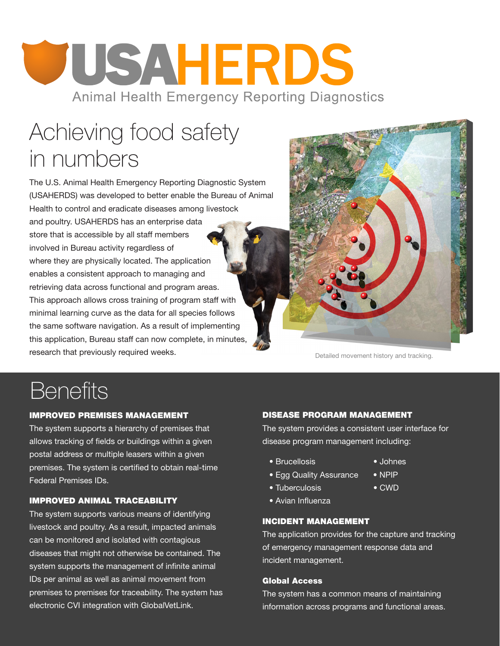# JUSAHERDS **Animal Health Emergency Reporting Diagnostics**

## Achieving food safety in numbers

The U.S. Animal Health Emergency Reporting Diagnostic System (USAHERDS) was developed to better enable the Bureau of Animal Health to control and eradicate diseases among livestock and poultry. USAHERDS has an enterprise data store that is accessible by all staff members involved in Bureau activity regardless of where they are physically located. The application enables a consistent approach to managing and retrieving data across functional and program areas. This approach allows cross training of program staff with minimal learning curve as the data for all species follows the same software navigation. As a result of implementing this application, Bureau staff can now complete, in minutes, **research that previously required weeks.** Detailed movement history and tracking.



### **Benefits**

#### IMPROVED PREMISES MANAGEMENT

The system supports a hierarchy of premises that allows tracking of fields or buildings within a given postal address or multiple leasers within a given premises. The system is certified to obtain real-time Federal Premises IDs.

#### IMPROVED ANIMAL TRACEABILITY

The system supports various means of identifying livestock and poultry. As a result, impacted animals can be monitored and isolated with contagious diseases that might not otherwise be contained. The system supports the management of infinite animal IDs per animal as well as animal movement from premises to premises for traceability. The system has electronic CVI integration with GlobalVetLink.

#### DISEASE PROGRAM MANAGEMENT

The system provides a consistent user interface for disease program management including:

- Brucellosis Johnes
- Egg Quality Assurance NPIP
- Tuberculosis CWD
- Avian Influenza

#### INCIDENT MANAGEMENT

The application provides for the capture and tracking of emergency management response data and incident management.

#### Global Access

The system has a common means of maintaining information across programs and functional areas.

- 
- 
- 
-